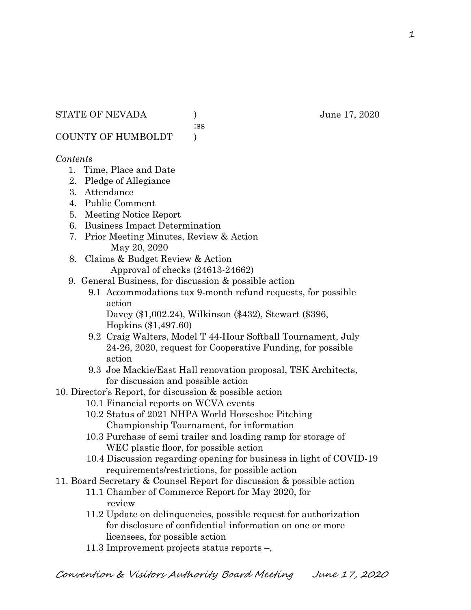:ss

COUNTY OF HUMBOLDT )

# *Contents*

- 1. Time, Place and Date
- 2. Pledge of Allegiance
- 3. Attendance
- 4. Public Comment
- 5. Meeting Notice Report
- 6. Business Impact Determination
- 7. Prior Meeting Minutes, Review & Action May 20, 2020
- 8. Claims & Budget Review & Action
	- Approval of checks (24613-24662)
- 9. General Business, for discussion & possible action
	- 9.1 Accommodations tax 9-month refund requests, for possible action

 Davey (\$1,002.24), Wilkinson (\$432), Stewart (\$396, Hopkins (\$1,497.60)

- 9.2 Craig Walters, Model T 44-Hour Softball Tournament, July 24-26, 2020, request for Cooperative Funding, for possible action
- 9.3 Joe Mackie/East Hall renovation proposal, TSK Architects, for discussion and possible action
- 10. Director's Report, for discussion & possible action
	- 10.1 Financial reports on WCVA events
	- 10.2 Status of 2021 NHPA World Horseshoe Pitching Championship Tournament, for information
	- 10.3 Purchase of semi trailer and loading ramp for storage of WEC plastic floor, for possible action
	- 10.4 Discussion regarding opening for business in light of COVID-19 requirements/restrictions, for possible action
- 11. Board Secretary & Counsel Report for discussion & possible action
	- 11.1 Chamber of Commerce Report for May 2020, for review
		- 11.2 Update on delinquencies, possible request for authorization for disclosure of confidential information on one or more licensees, for possible action
		- 11.3 Improvement projects status reports –,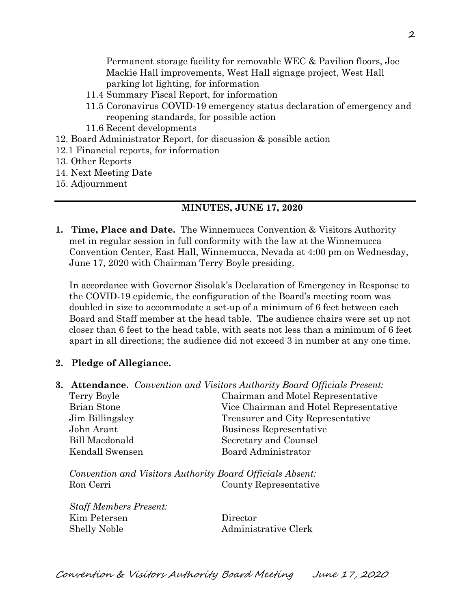Permanent storage facility for removable WEC & Pavilion floors, Joe Mackie Hall improvements, West Hall signage project, West Hall parking lot lighting, for information

- 11.4 Summary Fiscal Report, for information
- 11.5 Coronavirus COVID-19 emergency status declaration of emergency and reopening standards, for possible action
- 11.6 Recent developments
- 12. Board Administrator Report, for discussion & possible action
- 12.1 Financial reports, for information
- 13. Other Reports
- 14. Next Meeting Date
- 15. Adjournment

### **MINUTES, JUNE 17, 2020**

**1. Time, Place and Date.** The Winnemucca Convention & Visitors Authority met in regular session in full conformity with the law at the Winnemucca Convention Center, East Hall, Winnemucca, Nevada at 4:00 pm on Wednesday, June 17, 2020 with Chairman Terry Boyle presiding.

In accordance with Governor Sisolak's Declaration of Emergency in Response to the COVID-19 epidemic, the configuration of the Board's meeting room was doubled in size to accommodate a set-up of a minimum of 6 feet between each Board and Staff member at the head table. The audience chairs were set up not closer than 6 feet to the head table, with seats not less than a minimum of 6 feet apart in all directions; the audience did not exceed 3 in number at any one time.

### **2. Pledge of Allegiance.**

**3. Attendance.** *Convention and Visitors Authority Board Officials Present:*

| Terry Boyle           | Chairman and Motel Representative      |
|-----------------------|----------------------------------------|
| <b>Brian Stone</b>    | Vice Chairman and Hotel Representative |
| Jim Billingsley       | Treasurer and City Representative      |
| John Arant            | Business Representative                |
| <b>Bill Macdonald</b> | Secretary and Counsel                  |
| Kendall Swensen       | Board Administrator                    |
|                       |                                        |

*Convention and Visitors Authority Board Officials Absent:* Ron Cerri County Representative

| <b>Staff Members Present:</b> |                      |
|-------------------------------|----------------------|
| Kim Petersen                  | Director             |
| Shelly Noble                  | Administrative Clerk |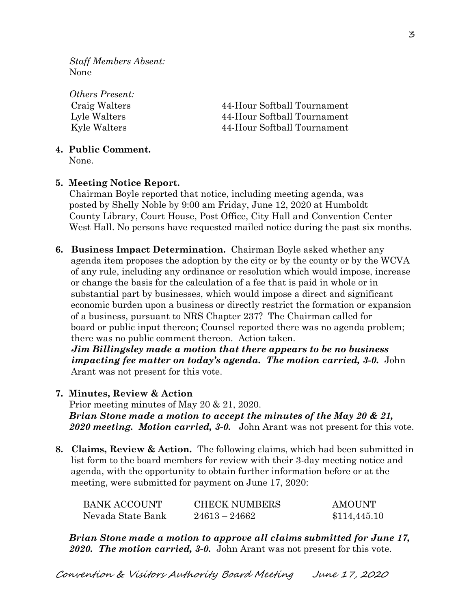*Staff Members Absent:* None

*Others Present:* Craig Walters 44-Hour Softball Tournament Lyle Walters 44-Hour Softball Tournament Kyle Walters 44-Hour Softball Tournament

### **4. Public Comment.**

None.

### **5. Meeting Notice Report.**

Chairman Boyle reported that notice, including meeting agenda, was posted by Shelly Noble by 9:00 am Friday, June 12, 2020 at Humboldt County Library, Court House, Post Office, City Hall and Convention Center West Hall. No persons have requested mailed notice during the past six months.

**6. Business Impact Determination.** Chairman Boyle asked whether any agenda item proposes the adoption by the city or by the county or by the WCVA of any rule, including any ordinance or resolution which would impose, increase or change the basis for the calculation of a fee that is paid in whole or in substantial part by businesses, which would impose a direct and significant economic burden upon a business or directly restrict the formation or expansion of a business, pursuant to NRS Chapter 237? The Chairman called for board or public input thereon; Counsel reported there was no agenda problem; there was no public comment thereon. Action taken.

 *Jim Billingsley made a motion that there appears to be no business impacting fee matter on today's agenda. The motion carried, 3-0.* John Arant was not present for this vote.

### **7. Minutes, Review & Action**

Prior meeting minutes of May 20 & 21, 2020. *Brian Stone made a motion to accept the minutes of the May 20 & 21, 2020 meeting. Motion carried, 3-0.* John Arant was not present for this vote.

**8. Claims, Review & Action.** The following claims, which had been submitted in list form to the board members for review with their 3-day meeting notice and agenda, with the opportunity to obtain further information before or at the meeting, were submitted for payment on June 17, 2020:

| BANK ACCOUNT      | <b>CHECK NUMBERS</b> | AMOUNT       |
|-------------------|----------------------|--------------|
| Nevada State Bank | $24613 - 24662$      | \$114,445,10 |

*Brian Stone made a motion to approve all claims submitted for June 17, 2020. The motion carried, 3-0.* John Arant was not present for this vote.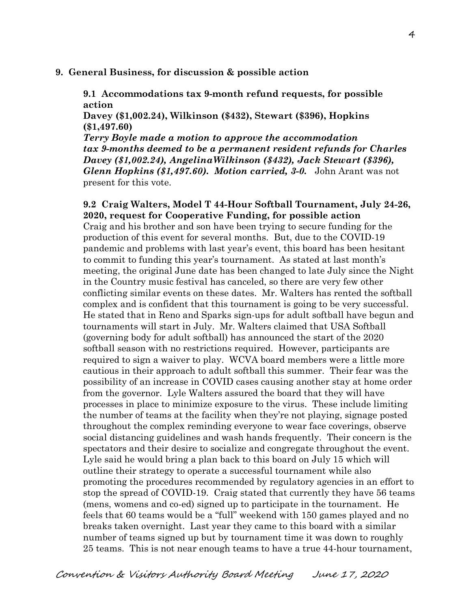#### **9. General Business, for discussion & possible action**

**9.1 Accommodations tax 9-month refund requests, for possible action**

**Davey (\$1,002.24), Wilkinson (\$432), Stewart (\$396), Hopkins (\$1,497.60)**

*Terry Boyle made a motion to approve the accommodation tax 9-months deemed to be a permanent resident refunds for Charles Davey (\$1,002.24), AngelinaWilkinson (\$432), Jack Stewart (\$396), Glenn Hopkins (\$1,497.60). Motion carried, 3-0.* John Arant was not present for this vote.

**9.2 Craig Walters, Model T 44-Hour Softball Tournament, July 24-26, 2020, request for Cooperative Funding, for possible action** Craig and his brother and son have been trying to secure funding for the production of this event for several months. But, due to the COVID-19 pandemic and problems with last year's event, this board has been hesitant to commit to funding this year's tournament. As stated at last month's meeting, the original June date has been changed to late July since the Night in the Country music festival has canceled, so there are very few other conflicting similar events on these dates. Mr. Walters has rented the softball complex and is confident that this tournament is going to be very successful. He stated that in Reno and Sparks sign-ups for adult softball have begun and tournaments will start in July. Mr. Walters claimed that USA Softball (governing body for adult softball) has announced the start of the 2020 softball season with no restrictions required. However, participants are required to sign a waiver to play. WCVA board members were a little more cautious in their approach to adult softball this summer. Their fear was the possibility of an increase in COVID cases causing another stay at home order from the governor. Lyle Walters assured the board that they will have processes in place to minimize exposure to the virus. These include limiting the number of teams at the facility when they're not playing, signage posted throughout the complex reminding everyone to wear face coverings, observe social distancing guidelines and wash hands frequently. Their concern is the spectators and their desire to socialize and congregate throughout the event. Lyle said he would bring a plan back to this board on July 15 which will outline their strategy to operate a successful tournament while also promoting the procedures recommended by regulatory agencies in an effort to stop the spread of COVID-19. Craig stated that currently they have 56 teams (mens, womens and co-ed) signed up to participate in the tournament. He feels that 60 teams would be a "full" weekend with 150 games played and no breaks taken overnight. Last year they came to this board with a similar number of teams signed up but by tournament time it was down to roughly 25 teams. This is not near enough teams to have a true 44-hour tournament,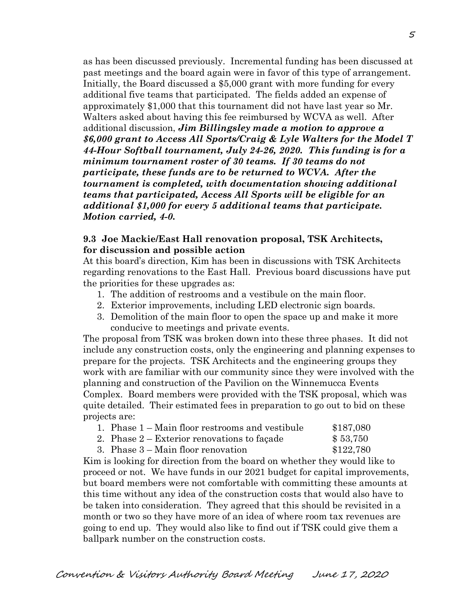as has been discussed previously. Incremental funding has been discussed at past meetings and the board again were in favor of this type of arrangement. Initially, the Board discussed a \$5,000 grant with more funding for every additional five teams that participated. The fields added an expense of approximately \$1,000 that this tournament did not have last year so Mr. Walters asked about having this fee reimbursed by WCVA as well. After additional discussion, *Jim Billingsley made a motion to approve a \$6,000 grant to Access All Sports/Craig & Lyle Walters for the Model T 44-Hour Softball tournament, July 24-26, 2020. This funding is for a minimum tournament roster of 30 teams. If 30 teams do not participate, these funds are to be returned to WCVA. After the tournament is completed, with documentation showing additional teams that participated, Access All Sports will be eligible for an additional \$1,000 for every 5 additional teams that participate. Motion carried, 4-0.*

### **9.3 Joe Mackie/East Hall renovation proposal, TSK Architects, for discussion and possible action**

At this board's direction, Kim has been in discussions with TSK Architects regarding renovations to the East Hall. Previous board discussions have put the priorities for these upgrades as:

- 1. The addition of restrooms and a vestibule on the main floor.
- 2. Exterior improvements, including LED electronic sign boards.
- 3. Demolition of the main floor to open the space up and make it more conducive to meetings and private events.

The proposal from TSK was broken down into these three phases. It did not include any construction costs, only the engineering and planning expenses to prepare for the projects. TSK Architects and the engineering groups they work with are familiar with our community since they were involved with the planning and construction of the Pavilion on the Winnemucca Events Complex. Board members were provided with the TSK proposal, which was quite detailed. Their estimated fees in preparation to go out to bid on these projects are:

| 1. Phase 1 – Main floor restrooms and vestibule | \$187,080 |
|-------------------------------------------------|-----------|
| 2. Phase $2 -$ Exterior renovations to facade   | \$53,750  |
| 3. Phase $3 -$ Main floor renovation            | \$122,780 |

Kim is looking for direction from the board on whether they would like to proceed or not. We have funds in our 2021 budget for capital improvements, but board members were not comfortable with committing these amounts at this time without any idea of the construction costs that would also have to be taken into consideration. They agreed that this should be revisited in a month or two so they have more of an idea of where room tax revenues are going to end up. They would also like to find out if TSK could give them a ballpark number on the construction costs.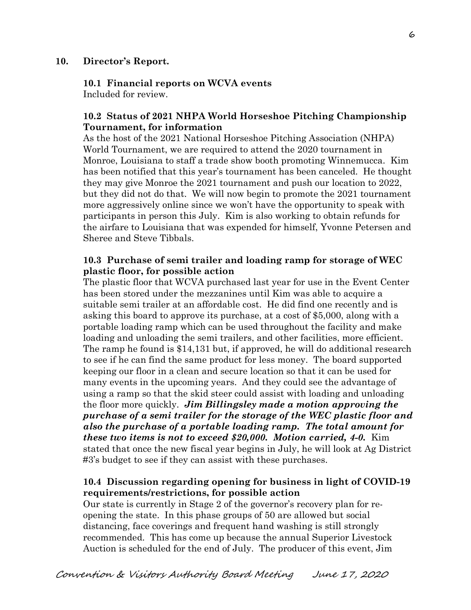## **10. Director's Report.**

**10.1 Financial reports on WCVA events**  Included for review.

## **10.2 Status of 2021 NHPA World Horseshoe Pitching Championship Tournament, for information**

As the host of the 2021 National Horseshoe Pitching Association (NHPA) World Tournament, we are required to attend the 2020 tournament in Monroe, Louisiana to staff a trade show booth promoting Winnemucca. Kim has been notified that this year's tournament has been canceled. He thought they may give Monroe the 2021 tournament and push our location to 2022, but they did not do that. We will now begin to promote the 2021 tournament more aggressively online since we won't have the opportunity to speak with participants in person this July. Kim is also working to obtain refunds for the airfare to Louisiana that was expended for himself, Yvonne Petersen and Sheree and Steve Tibbals.

## **10.3 Purchase of semi trailer and loading ramp for storage of WEC plastic floor, for possible action**

The plastic floor that WCVA purchased last year for use in the Event Center has been stored under the mezzanines until Kim was able to acquire a suitable semi trailer at an affordable cost. He did find one recently and is asking this board to approve its purchase, at a cost of \$5,000, along with a portable loading ramp which can be used throughout the facility and make loading and unloading the semi trailers, and other facilities, more efficient. The ramp he found is \$14,131 but, if approved, he will do additional research to see if he can find the same product for less money. The board supported keeping our floor in a clean and secure location so that it can be used for many events in the upcoming years. And they could see the advantage of using a ramp so that the skid steer could assist with loading and unloading the floor more quickly. *Jim Billingsley made a motion approving the purchase of a semi trailer for the storage of the WEC plastic floor and also the purchase of a portable loading ramp. The total amount for these two items is not to exceed \$20,000. Motion carried, 4-0.* Kim stated that once the new fiscal year begins in July, he will look at Ag District #3's budget to see if they can assist with these purchases.

# **10.4 Discussion regarding opening for business in light of COVID-19 requirements/restrictions, for possible action**

Our state is currently in Stage 2 of the governor's recovery plan for reopening the state. In this phase groups of 50 are allowed but social distancing, face coverings and frequent hand washing is still strongly recommended. This has come up because the annual Superior Livestock Auction is scheduled for the end of July. The producer of this event, Jim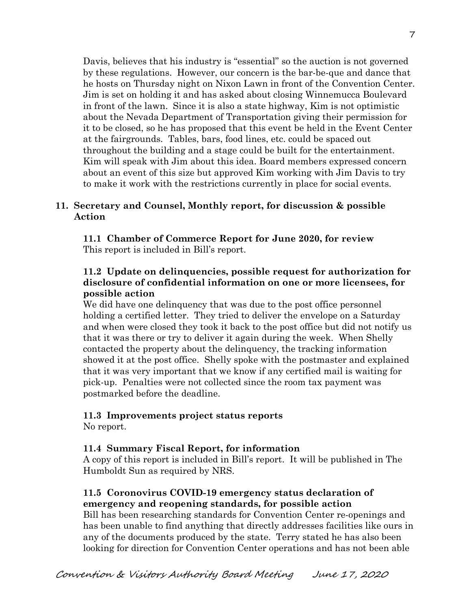Davis, believes that his industry is "essential" so the auction is not governed by these regulations. However, our concern is the bar-be-que and dance that he hosts on Thursday night on Nixon Lawn in front of the Convention Center. Jim is set on holding it and has asked about closing Winnemucca Boulevard in front of the lawn. Since it is also a state highway, Kim is not optimistic about the Nevada Department of Transportation giving their permission for it to be closed, so he has proposed that this event be held in the Event Center at the fairgrounds. Tables, bars, food lines, etc. could be spaced out throughout the building and a stage could be built for the entertainment. Kim will speak with Jim about this idea. Board members expressed concern about an event of this size but approved Kim working with Jim Davis to try to make it work with the restrictions currently in place for social events.

# **11. Secretary and Counsel, Monthly report, for discussion & possible Action**

 **11.1 Chamber of Commerce Report for June 2020, for review** This report is included in Bill's report.

# **11.2 Update on delinquencies, possible request for authorization for disclosure of confidential information on one or more licensees, for possible action**

We did have one delinquency that was due to the post office personnel holding a certified letter. They tried to deliver the envelope on a Saturday and when were closed they took it back to the post office but did not notify us that it was there or try to deliver it again during the week. When Shelly contacted the property about the delinquency, the tracking information showed it at the post office. Shelly spoke with the postmaster and explained that it was very important that we know if any certified mail is waiting for pick-up. Penalties were not collected since the room tax payment was postmarked before the deadline.

# **11.3 Improvements project status reports**

No report.

# **11.4 Summary Fiscal Report, for information**

A copy of this report is included in Bill's report. It will be published in The Humboldt Sun as required by NRS.

# **11.5 Coronovirus COVID-19 emergency status declaration of emergency and reopening standards, for possible action**

Bill has been researching standards for Convention Center re-openings and has been unable to find anything that directly addresses facilities like ours in any of the documents produced by the state. Terry stated he has also been looking for direction for Convention Center operations and has not been able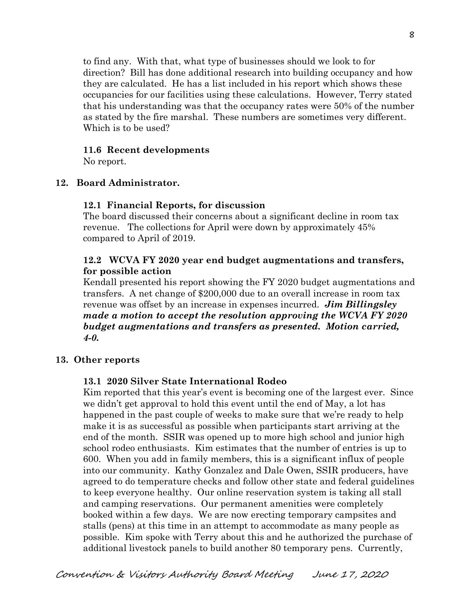to find any. With that, what type of businesses should we look to for direction? Bill has done additional research into building occupancy and how they are calculated. He has a list included in his report which shows these occupancies for our facilities using these calculations. However, Terry stated that his understanding was that the occupancy rates were 50% of the number as stated by the fire marshal. These numbers are sometimes very different. Which is to be used?

### **11.6 Recent developments**

No report.

### **12. Board Administrator.**

#### **12.1 Financial Reports, for discussion**

The board discussed their concerns about a significant decline in room tax revenue. The collections for April were down by approximately 45% compared to April of 2019.

## **12.2 WCVA FY 2020 year end budget augmentations and transfers, for possible action**

Kendall presented his report showing the FY 2020 budget augmentations and transfers. A net change of \$200,000 due to an overall increase in room tax revenue was offset by an increase in expenses incurred. *Jim Billingsley made a motion to accept the resolution approving the WCVA FY 2020 budget augmentations and transfers as presented. Motion carried, 4-0.* 

### **13. Other reports**

### **13.1 2020 Silver State International Rodeo**

Kim reported that this year's event is becoming one of the largest ever. Since we didn't get approval to hold this event until the end of May, a lot has happened in the past couple of weeks to make sure that we're ready to help make it is as successful as possible when participants start arriving at the end of the month. SSIR was opened up to more high school and junior high school rodeo enthusiasts. Kim estimates that the number of entries is up to 600. When you add in family members, this is a significant influx of people into our community. Kathy Gonzalez and Dale Owen, SSIR producers, have agreed to do temperature checks and follow other state and federal guidelines to keep everyone healthy. Our online reservation system is taking all stall and camping reservations. Our permanent amenities were completely booked within a few days. We are now erecting temporary campsites and stalls (pens) at this time in an attempt to accommodate as many people as possible. Kim spoke with Terry about this and he authorized the purchase of additional livestock panels to build another 80 temporary pens. Currently,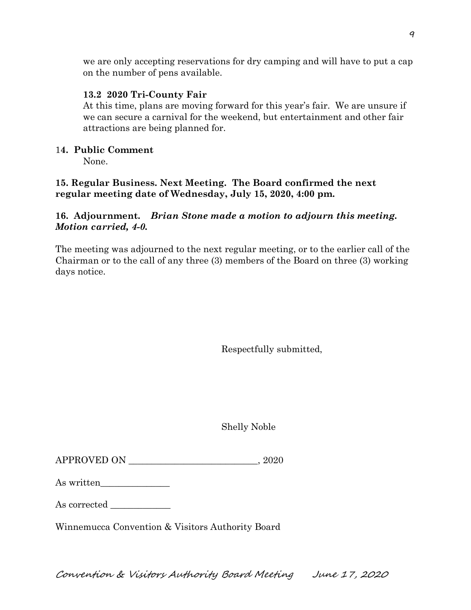we are only accepting reservations for dry camping and will have to put a cap on the number of pens available.

# **13.2 2020 Tri-County Fair**

At this time, plans are moving forward for this year's fair. We are unsure if we can secure a carnival for the weekend, but entertainment and other fair attractions are being planned for.

# 1**4. Public Comment**

None.

# **15. Regular Business. Next Meeting. The Board confirmed the next regular meeting date of Wednesday, July 15, 2020, 4:00 pm.**

# **16. Adjournment.** *Brian Stone made a motion to adjourn this meeting. Motion carried, 4-0.*

The meeting was adjourned to the next regular meeting, or to the earlier call of the Chairman or to the call of any three (3) members of the Board on three (3) working days notice.

Respectfully submitted,

Shelly Noble

| As written |  |
|------------|--|
|------------|--|

As corrected

Winnemucca Convention & Visitors Authority Board